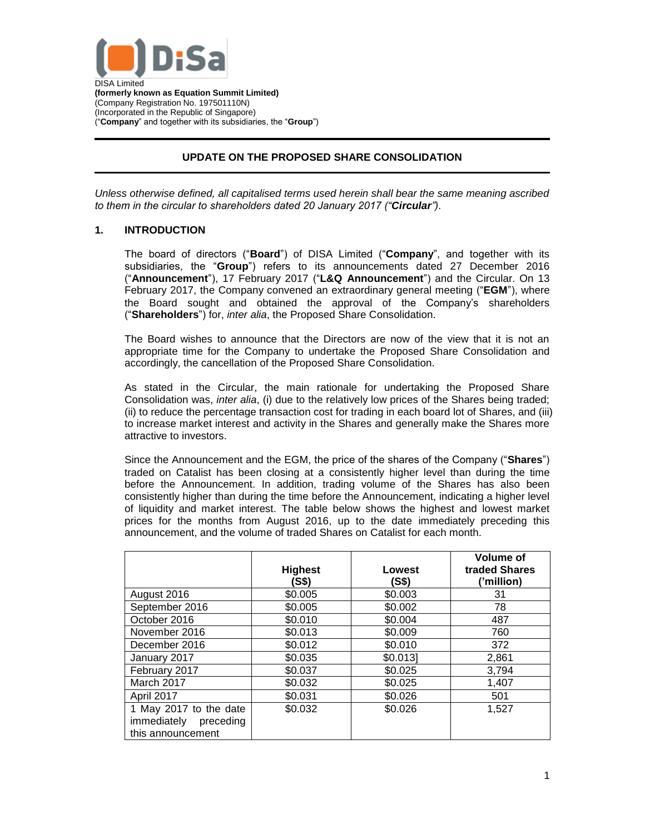

DISA Limited **(formerly known as Equation Summit Limited)** (Company Registration No. 197501110N) (Incorporated in the Republic of Singapore) ("**Company**" and together with its subsidiaries, the "**Group**")

# **UPDATE ON THE PROPOSED SHARE CONSOLIDATION**

*Unless otherwise defined, all capitalised terms used herein shall bear the same meaning ascribed to them in the circular to shareholders dated 20 January 2017 ("Circular").* 

### **1. INTRODUCTION**

The board of directors ("**Board**") of DISA Limited ("**Company**", and together with its subsidiaries, the "**Group**") refers to its announcements dated 27 December 2016 ("**Announcement**"), 17 February 2017 ("**L&Q Announcement**") and the Circular. On 13 February 2017, the Company convened an extraordinary general meeting ("**EGM**"), where the Board sought and obtained the approval of the Company's shareholders ("**Shareholders**") for, *inter alia*, the Proposed Share Consolidation.

The Board wishes to announce that the Directors are now of the view that it is not an appropriate time for the Company to undertake the Proposed Share Consolidation and accordingly, the cancellation of the Proposed Share Consolidation.

As stated in the Circular, the main rationale for undertaking the Proposed Share Consolidation was, *inter alia*, (i) due to the relatively low prices of the Shares being traded; (ii) to reduce the percentage transaction cost for trading in each board lot of Shares, and (iii) to increase market interest and activity in the Shares and generally make the Shares more attractive to investors.

Since the Announcement and the EGM, the price of the shares of the Company ("**Shares**") traded on Catalist has been closing at a consistently higher level than during the time before the Announcement. In addition, trading volume of the Shares has also been consistently higher than during the time before the Announcement, indicating a higher level of liquidity and market interest. The table below shows the highest and lowest market prices for the months from August 2016, up to the date immediately preceding this announcement, and the volume of traded Shares on Catalist for each month.

|                                                                         | <b>Highest</b><br>(S\$) | Lowest<br>(S\$) | <b>Volume of</b><br>traded Shares<br>('million) |
|-------------------------------------------------------------------------|-------------------------|-----------------|-------------------------------------------------|
| August 2016                                                             | \$0.005                 | \$0.003         | 31                                              |
| September 2016                                                          | \$0.005                 | \$0.002         | 78                                              |
| October 2016                                                            | \$0.010                 | \$0.004         | 487                                             |
| November 2016                                                           | \$0.013                 | \$0.009         | 760                                             |
| December 2016                                                           | \$0.012                 | \$0.010         | 372                                             |
| January 2017                                                            | \$0.035                 | \$0.013]        | 2,861                                           |
| February 2017                                                           | \$0.037                 | \$0.025         | 3,794                                           |
| March 2017                                                              | \$0.032                 | \$0.025         | 1,407                                           |
| April 2017                                                              | \$0.031                 | \$0.026         | 501                                             |
| 1 May 2017 to the date<br>immediately<br>preceding<br>this announcement | \$0.032                 | \$0.026         | 1,527                                           |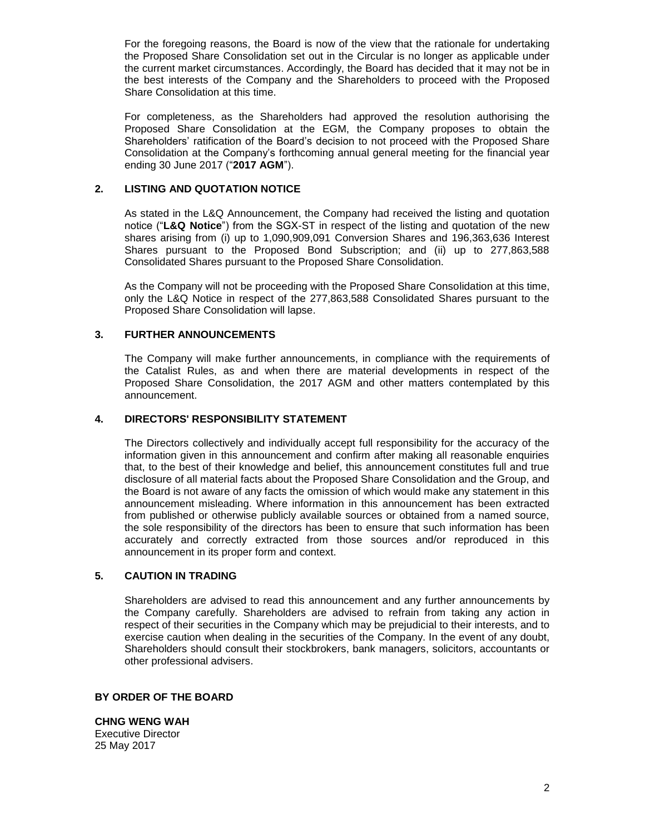For the foregoing reasons, the Board is now of the view that the rationale for undertaking the Proposed Share Consolidation set out in the Circular is no longer as applicable under the current market circumstances. Accordingly, the Board has decided that it may not be in the best interests of the Company and the Shareholders to proceed with the Proposed Share Consolidation at this time.

For completeness, as the Shareholders had approved the resolution authorising the Proposed Share Consolidation at the EGM, the Company proposes to obtain the Shareholders' ratification of the Board's decision to not proceed with the Proposed Share Consolidation at the Company's forthcoming annual general meeting for the financial year ending 30 June 2017 ("**2017 AGM**").

### **2. LISTING AND QUOTATION NOTICE**

As stated in the L&Q Announcement, the Company had received the listing and quotation notice ("**L&Q Notice**") from the SGX-ST in respect of the listing and quotation of the new shares arising from (i) up to 1,090,909,091 Conversion Shares and 196,363,636 Interest Shares pursuant to the Proposed Bond Subscription; and (ii) up to 277,863,588 Consolidated Shares pursuant to the Proposed Share Consolidation.

As the Company will not be proceeding with the Proposed Share Consolidation at this time, only the L&Q Notice in respect of the 277,863,588 Consolidated Shares pursuant to the Proposed Share Consolidation will lapse.

### **3. FURTHER ANNOUNCEMENTS**

The Company will make further announcements, in compliance with the requirements of the Catalist Rules, as and when there are material developments in respect of the Proposed Share Consolidation, the 2017 AGM and other matters contemplated by this announcement.

### **4. DIRECTORS' RESPONSIBILITY STATEMENT**

The Directors collectively and individually accept full responsibility for the accuracy of the information given in this announcement and confirm after making all reasonable enquiries that, to the best of their knowledge and belief, this announcement constitutes full and true disclosure of all material facts about the Proposed Share Consolidation and the Group, and the Board is not aware of any facts the omission of which would make any statement in this announcement misleading. Where information in this announcement has been extracted from published or otherwise publicly available sources or obtained from a named source, the sole responsibility of the directors has been to ensure that such information has been accurately and correctly extracted from those sources and/or reproduced in this announcement in its proper form and context.

#### **5. CAUTION IN TRADING**

Shareholders are advised to read this announcement and any further announcements by the Company carefully. Shareholders are advised to refrain from taking any action in respect of their securities in the Company which may be prejudicial to their interests, and to exercise caution when dealing in the securities of the Company. In the event of any doubt, Shareholders should consult their stockbrokers, bank managers, solicitors, accountants or other professional advisers.

## **BY ORDER OF THE BOARD**

**CHNG WENG WAH** Executive Director 25 May 2017